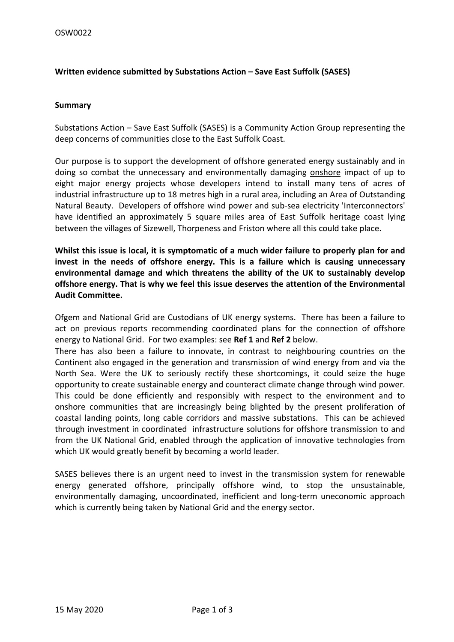## **Written evidence submitted by Substations Action – Save East Suffolk (SASES)**

#### **Summary**

Substations Action – Save East Suffolk (SASES) is a Community Action Group representing the deep concerns of communities close to the East Suffolk Coast.

Our purpose is to support the development of offshore generated energy sustainably and in doing so combat the unnecessary and environmentally damaging onshore impact of up to eight major energy projects whose developers intend to install many tens of acres of industrial infrastructure up to 18 metres high in a rural area, including an Area of Outstanding Natural Beauty. Developers of offshore wind power and sub-sea electricity 'Interconnectors' have identified an approximately 5 square miles area of East Suffolk heritage coast lying between the villages of Sizewell, Thorpeness and Friston where all this could take place.

**Whilst this issue is local, it is symptomatic of a much wider failure to properly plan for and invest in the needs of offshore energy. This is a failure which is causing unnecessary environmental damage and which threatens the ability of the UK to sustainably develop offshore energy. That is why we feel this issue deserves the attention of the Environmental Audit Committee.**

Ofgem and National Grid are Custodians of UK energy systems. There has been a failure to act on previous reports recommending coordinated plans for the connection of offshore energy to National Grid. For two examples: see **Ref 1** and **Ref 2** below.

There has also been a failure to innovate, in contrast to neighbouring countries on the Continent also engaged in the generation and transmission of wind energy from and via the North Sea. Were the UK to seriously rectify these shortcomings, it could seize the huge opportunity to create sustainable energy and counteract climate change through wind power. This could be done efficiently and responsibly with respect to the environment and to onshore communities that are increasingly being blighted by the present proliferation of coastal landing points, long cable corridors and massive substations. This can be achieved through investment in coordinated infrastructure solutions for offshore transmission to and from the UK National Grid, enabled through the application of innovative technologies from which UK would greatly benefit by becoming a world leader.

SASES believes there is an urgent need to invest in the transmission system for renewable energy generated offshore, principally offshore wind, to stop the unsustainable, environmentally damaging, uncoordinated, inefficient and long-term uneconomic approach which is currently being taken by National Grid and the energy sector.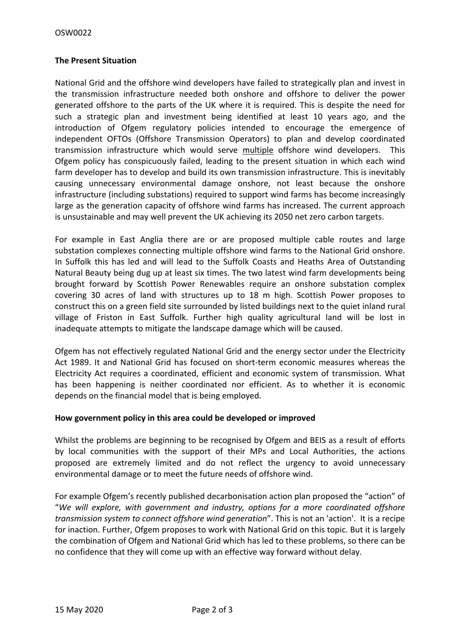# **The Present Situation**

National Grid and the offshore wind developers have failed to strategically plan and invest in the transmission infrastructure needed both onshore and offshore to deliver the power generated offshore to the parts of the UK where it is required. This is despite the need for such a strategic plan and investment being identified at least 10 years ago, and the introduction of Ofgem regulatory policies intended to encourage the emergence of independent OFTOs (Offshore Transmission Operators) to plan and develop coordinated transmission infrastructure which would serve multiple offshore wind developers. This Ofgem policy has conspicuously failed, leading to the present situation in which each wind farm developer has to develop and build its own transmission infrastructure. This is inevitably causing unnecessary environmental damage onshore, not least because the onshore infrastructure (including substations) required to support wind farms has become increasingly large as the generation capacity of offshore wind farms has increased. The current approach is unsustainable and may well prevent the UK achieving its 2050 net zero carbon targets.

For example in East Anglia there are or are proposed multiple cable routes and large substation complexes connecting multiple offshore wind farms to the National Grid onshore. In Suffolk this has led and will lead to the Suffolk Coasts and Heaths Area of Outstanding Natural Beauty being dug up at least six times. The two latest wind farm developments being brought forward by Scottish Power Renewables require an onshore substation complex covering 30 acres of land with structures up to 18 m high. Scottish Power proposes to construct this on a green field site surrounded by listed buildings next to the quiet inland rural village of Friston in East Suffolk. Further high quality agricultural land will be lost in inadequate attempts to mitigate the landscape damage which will be caused.

Ofgem has not effectively regulated National Grid and the energy sector under the Electricity Act 1989. It and National Grid has focused on short-term economic measures whereas the Electricity Act requires a coordinated, efficient and economic system of transmission. What has been happening is neither coordinated nor efficient. As to whether it is economic depends on the financial model that is being employed.

## **How government policy in this area could be developed or improved**

Whilst the problems are beginning to be recognised by Ofgem and BEIS as a result of efforts by local communities with the support of their MPs and Local Authorities, the actions proposed are extremely limited and do not reflect the urgency to avoid unnecessary environmental damage or to meet the future needs of offshore wind.

For example Ofgem's recently published decarbonisation action plan proposed the "action" of "*We will explore, with government and industry, options for a more coordinated offshore transmission system to connect offshore wind generation*". This is not an 'action'. It is a recipe for inaction. Further, Ofgem proposes to work with National Grid on this topic. But it is largely the combination of Ofgem and National Grid which has led to these problems, so there can be no confidence that they will come up with an effective way forward without delay.